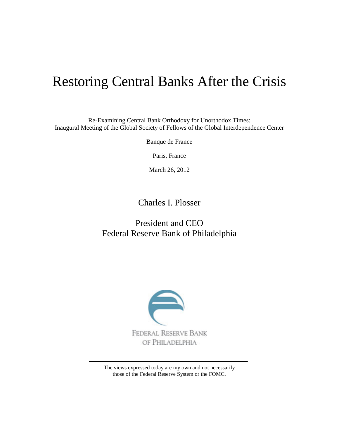# Restoring Central Banks After the Crisis

Re-Examining Central Bank Orthodoxy for Unorthodox Times: Inaugural Meeting of the Global Society of Fellows of the Global Interdependence Center

Banque de France

Paris, France

March 26, 2012

Charles I. Plosser

# President and CEO Federal Reserve Bank of Philadelphia



The views expressed today are my own and not necessarily those of the Federal Reserve System or the FOMC.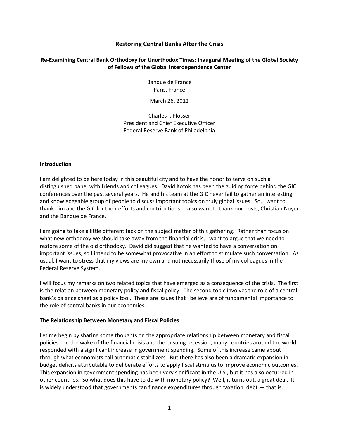# **Restoring Central Banks After the Crisis**

# **[Re-Examining Central Bank Orthodoxy for Unorthodox Times: Inaugural Meeting of the Global Society](http://www.interdependence.org/programs-and-events/event-registration/programs/inaugural-meeting-of-the-global-society-of-fellows/)  [of Fellows](http://www.interdependence.org/programs-and-events/event-registration/programs/inaugural-meeting-of-the-global-society-of-fellows/) of the Global Interdependence Center**

Banque de France Paris, France

March 26, 2012

Charles I. Plosser President and Chief Executive Officer Federal Reserve Bank of Philadelphia

#### **Introduction**

I am delighted to be here today in this beautiful city and to have the honor to serve on such a distinguished panel with friends and colleagues. David Kotok has been the guiding force behind the GIC conferences over the past several years. He and his team at the GIC never fail to gather an interesting and knowledgeable group of people to discuss important topics on truly global issues. So, I want to thank him and the GIC for their efforts and contributions. I also want to thank our hosts, Christian Noyer and the Banque de France.

I am going to take a little different tack on the subject matter of this gathering. Rather than focus on what new orthodoxy we should take away from the financial crisis, I want to argue that we need to restore some of the old orthodoxy. David did suggest that he wanted to have a conversation on important issues, so I intend to be somewhat provocative in an effort to stimulate such conversation. As usual, I want to stress that my views are my own and not necessarily those of my colleagues in the Federal Reserve System.

I will focus my remarks on two related topics that have emerged as a consequence of the crisis. The first is the relation between monetary policy and fiscal policy. The second topic involves the role of a central bank's balance sheet as a policy tool. These are issues that I believe are of fundamental importance to the role of central banks in our economies.

# **The Relationship Between Monetary and Fiscal Policies**

Let me begin by sharing some thoughts on the appropriate relationship between monetary and fiscal policies. In the wake of the financial crisis and the ensuing recession, many countries around the world responded with a significant increase in government spending. Some of this increase came about through what economists call automatic stabilizers. But there has also been a dramatic expansion in budget deficits attributable to deliberate efforts to apply fiscal stimulus to improve economic outcomes. This expansion in government spending has been very significant in the U.S., but it has also occurred in other countries. So what does this have to do with monetary policy? Well, it turns out, a great deal. It is widely understood that governments can finance expenditures through taxation, debt — that is,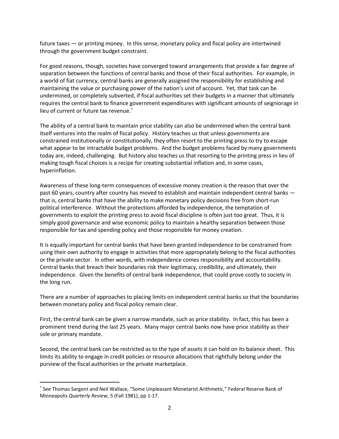future taxes — or printing money. In this sense, monetary policy and fiscal policy are intertwined through the government budget constraint.

For good reasons, though, societies have converged toward arrangements that provide a fair degree of separation between the functions of central banks and those of their fiscal authorities. For example, in a world of fiat currency, central banks are generally assigned the responsibility for establishing and maintaining the value or purchasing power of the nation's unit of account. Yet, that task can be undermined, or completely subverted, if fiscal authorities set their budgets in a manner that ultimately requires the central bank to finance government expenditures with significant amounts of seigniorage in lieu of current or future tax revenue.<sup>\*</sup>

The ability of a central bank to maintain price stability can also be undermined when the central bank itself ventures into the realm of fiscal policy. History teaches us that unless governments are constrained institutionally or constitutionally, they often resort to the printing press to try to escape what appear to be intractable budget problems. And the budget problems faced by many governments today are, indeed, challenging. But history also teaches us that resorting to the printing press in lieu of making tough fiscal choices is a recipe for creating substantial inflation and, in some cases, hyperinflation.

Awareness of these long-term consequences of excessive money creation is the reason that over the past 60 years, country after country has moved to establish and maintain independent central banks that is, central banks that have the ability to make monetary policy decisions free from short-run political interference. Without the protections afforded by independence, the temptation of governments to exploit the printing press to avoid fiscal discipline is often just too great. Thus, it is simply good governance and wise economic policy to maintain a healthy separation between those responsible for tax and spending policy and those responsible for money creation.

It is equally important for central banks that have been granted independence to be constrained from using their own authority to engage in activities that more appropriately belong to the fiscal authorities or the private sector. In other words, with independence comes responsibility and accountability. Central banks that breach their boundaries risk their legitimacy, credibility, and ultimately, their independence. Given the benefits of central bank independence, that could prove costly to society in the long run.

There are a number of approaches to placing limits on independent central banks so that the boundaries between monetary policy and fiscal policy remain clear.

First, the central bank can be given a narrow mandate, such as price stability. In fact, this has been a prominent trend during the last 25 years. Many major central banks now have price stability as their sole or primary mandate.

Second, the central bank can be restricted as to the type of assets it can hold on its balance sheet. This limits its ability to engage in credit policies or resource allocations that rightfully belong under the purview of the fiscal authorities or the private marketplace.

l

<span id="page-2-0"></span><sup>∗</sup> See Thomas Sargent and Neil Wallace, "Some Unpleasant Monetarist Arithmetic," Federal Reserve Bank of Minneapolis *Quarterly Review*, 5 (Fall 1981), pp 1-17.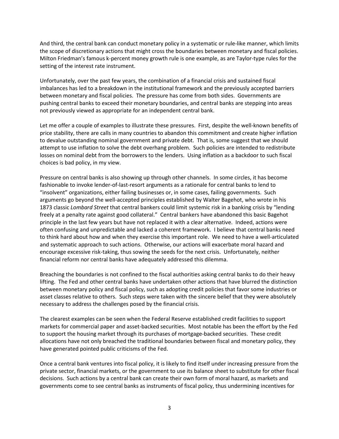And third, the central bank can conduct monetary policy in a systematic or rule-like manner, which limits the scope of discretionary actions that might cross the boundaries between monetary and fiscal policies. Milton Friedman's famous k-percent money growth rule is one example, as are Taylor-type rules for the setting of the interest rate instrument.

Unfortunately, over the past few years, the combination of a financial crisis and sustained fiscal imbalances has led to a breakdown in the institutional framework and the previously accepted barriers between monetary and fiscal policies. The pressure has come from both sides. Governments are pushing central banks to exceed their monetary boundaries, and central banks are stepping into areas not previously viewed as appropriate for an independent central bank.

Let me offer a couple of examples to illustrate these pressures. First, despite the well-known benefits of price stability, there are calls in many countries to abandon this commitment and create higher inflation to devalue outstanding nominal government and private debt. That is, some suggest that we should attempt to use inflation to solve the debt overhang problem. Such policies are intended to redistribute losses on nominal debt from the borrowers to the lenders. Using inflation as a backdoor to such fiscal choices is bad policy, in my view.

Pressure on central banks is also showing up through other channels. In some circles, it has become fashionable to invoke lender-of-last-resort arguments as a rationale for central banks to lend to "insolvent" organizations, either failing businesses or, in some cases, failing governments. Such arguments go beyond the well-accepted principles established by Walter Bagehot, who wrote in his 1873 classic *Lombard Street* that central bankers could limit systemic risk in a banking crisis by "lending freely at a penalty rate against good collateral." Central bankers have abandoned this basic Bagehot principle in the last few years but have not replaced it with a clear alternative. Indeed, actions were often confusing and unpredictable and lacked a coherent framework. I believe that central banks need to think hard about how and when they exercise this important role. We need to have a well-articulated and systematic approach to such actions. Otherwise, our actions will exacerbate moral hazard and encourage excessive risk-taking, thus sowing the seeds for the next crisis. Unfortunately, neither financial reform nor central banks have adequately addressed this dilemma.

Breaching the boundaries is not confined to the fiscal authorities asking central banks to do their heavy lifting. The Fed and other central banks have undertaken other actions that have blurred the distinction between monetary policy and fiscal policy, such as adopting credit policies that favor some industries or asset classes relative to others. Such steps were taken with the sincere belief that they were absolutely necessary to address the challenges posed by the financial crisis.

The clearest examples can be seen when the Federal Reserve established credit facilities to support markets for commercial paper and asset-backed securities. Most notable has been the effort by the Fed to support the housing market through its purchases of mortgage-backed securities. These credit allocations have not only breached the traditional boundaries between fiscal and monetary policy, they have generated pointed public criticisms of the Fed.

Once a central bank ventures into fiscal policy, it is likely to find itself under increasing pressure from the private sector, financial markets, or the government to use its balance sheet to substitute for other fiscal decisions. Such actions by a central bank can create their own form of moral hazard, as markets and governments come to see central banks as instruments of fiscal policy, thus undermining incentives for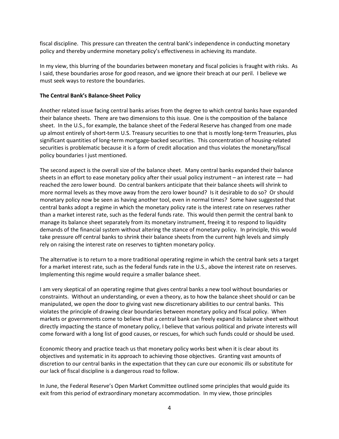fiscal discipline. This pressure can threaten the central bank's independence in conducting monetary policy and thereby undermine monetary policy's effectiveness in achieving its mandate.

In my view, this blurring of the boundaries between monetary and fiscal policies is fraught with risks. As I said, these boundaries arose for good reason, and we ignore their breach at our peril. I believe we must seek ways to restore the boundaries.

### **The Central Bank's Balance-Sheet Policy**

Another related issue facing central banks arises from the degree to which central banks have expanded their balance sheets. There are two dimensions to this issue. One is the composition of the balance sheet. In the U.S., for example, the balance sheet of the Federal Reserve has changed from one made up almost entirely of short-term U.S. Treasury securities to one that is mostly long-term Treasuries, plus significant quantities of long-term mortgage-backed securities. This concentration of housing-related securities is problematic because it is a form of credit allocation and thus violates the monetary/fiscal policy boundaries I just mentioned.

The second aspect is the overall size of the balance sheet. Many central banks expanded their balance sheets in an effort to ease monetary policy after their usual policy instrument – an interest rate — had reached the zero lower bound. Do central bankers anticipate that their balance sheets will shrink to more normal levels as they move away from the zero lower bound? Is it desirable to do so? Or should monetary policy now be seen as having another tool, even in normal times? Some have suggested that central banks adopt a regime in which the monetary policy rate is the interest rate on reserves rather than a market interest rate, such as the federal funds rate. This would then permit the central bank to manage its balance sheet separately from its monetary instrument, freeing it to respond to liquidity demands of the financial system without altering the stance of monetary policy. In principle, this would take pressure off central banks to shrink their balance sheets from the current high levels and simply rely on raising the interest rate on reserves to tighten monetary policy.

The alternative is to return to a more traditional operating regime in which the central bank sets a target for a market interest rate, such as the federal funds rate in the U.S., above the interest rate on reserves. Implementing this regime would require a smaller balance sheet.

I am very skeptical of an operating regime that gives central banks a new tool without boundaries or constraints. Without an understanding, or even a theory, as to how the balance sheet should or can be manipulated, we open the door to giving vast new discretionary abilities to our central banks. This violates the principle of drawing clear boundaries between monetary policy and fiscal policy. When markets or governments come to believe that a central bank can freely expand its balance sheet without directly impacting the stance of monetary policy, I believe that various political and private interests will come forward with a long list of good causes, or rescues, for which such funds could or should be used.

Economic theory and practice teach us that monetary policy works best when it is clear about its objectives and systematic in its approach to achieving those objectives. Granting vast amounts of discretion to our central banks in the expectation that they can cure our economic ills or substitute for our lack of fiscal discipline is a dangerous road to follow.

In June, the Federal Reserve's Open Market Committee outlined some principles that would guide its exit from this period of extraordinary monetary accommodation. In my view, those principles